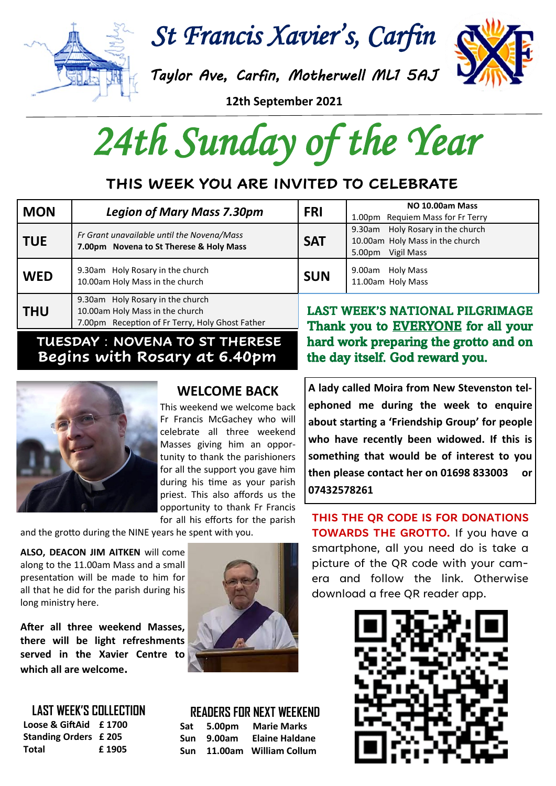

*St Francis Xavier's, Carfin* 

*Taylor Ave, Carfin, Motherwell ML1 5AJ* 

**12th September 2021**

*24th Sunday of the Year* 

# **THIS WEEK YOU ARE INVITED TO CELEBRATE**

| <b>MON</b> | <b>Legion of Mary Mass 7.30pm</b>                                                                                      | <b>FRI</b> | NO 10.00am Mass<br>1.00pm Requiem Mass for Fr Terry                                      |
|------------|------------------------------------------------------------------------------------------------------------------------|------------|------------------------------------------------------------------------------------------|
| <b>TUE</b> | Fr Grant unavailable until the Novena/Mass<br>7.00pm Novena to St Therese & Holy Mass                                  | <b>SAT</b> | 9.30am Holy Rosary in the church<br>10.00am Holy Mass in the church<br>5.00pm Vigil Mass |
| <b>WED</b> | 9.30am Holy Rosary in the church<br>10.00am Holy Mass in the church                                                    | <b>SUN</b> | 9.00am Holy Mass<br>11.00am Holy Mass                                                    |
| <b>THU</b> | 9.30am Holy Rosary in the church<br>10.00am Holy Mass in the church<br>7.00pm Reception of Fr Terry, Holy Ghost Father |            | <b>LAST WEEK'S NATIONAL PILGRIMAGE</b><br>Thank you to EVEDVONE for all your             |

### **TUESDAY** : **NOVENA TO ST THERESE Begins with Rosary at 6.40pm**



### **WELCOME BACK**

This weekend we welcome back Fr Francis McGachey who will celebrate all three weekend Masses giving him an opportunity to thank the parishioners for all the support you gave him during his time as your parish priest. This also affords us the opportunity to thank Fr Francis for all his efforts for the parish

and the grotto during the NINE years he spent with you.

**ALSO, DEACON JIM AITKEN** will come along to the 11.00am Mass and a small presentation will be made to him for all that he did for the parish during his long ministry here.

**After all three weekend Masses, there will be light refreshments served in the Xavier Centre to which all are welcome.**



### **READERS FOR NEXT WEEKEND**

| Sat | 5.00pm | <b>Marie Marks</b>     |
|-----|--------|------------------------|
| Sun | 9.00am | <b>Elaine Haldane</b>  |
| Sun |        | 11.00am William Collum |

Thank you to EVERYONE for all your hard work preparing the grotto and on the day itself. God reward you.

**A lady called Moira from New Stevenston telephoned me during the week to enquire about starting a 'Friendship Group' for people who have recently been widowed. If this is something that would be of interest to you then please contact her on 01698 833003 or 07432578261**

**THIS THE QR CODE IS FOR DONATIONS TOWARDS THE GROTTO.** If you have a smartphone, all you need do is take a picture of the QR code with your camera and follow the link. Otherwise download a free QR reader app.



| <b>LAST WEEK'S COLLECTION</b> |       |  |  |  |
|-------------------------------|-------|--|--|--|
| Loose & GiftAid  £ 1700       |       |  |  |  |
| <b>Standing Orders £205</b>   |       |  |  |  |
| Total                         | £1905 |  |  |  |